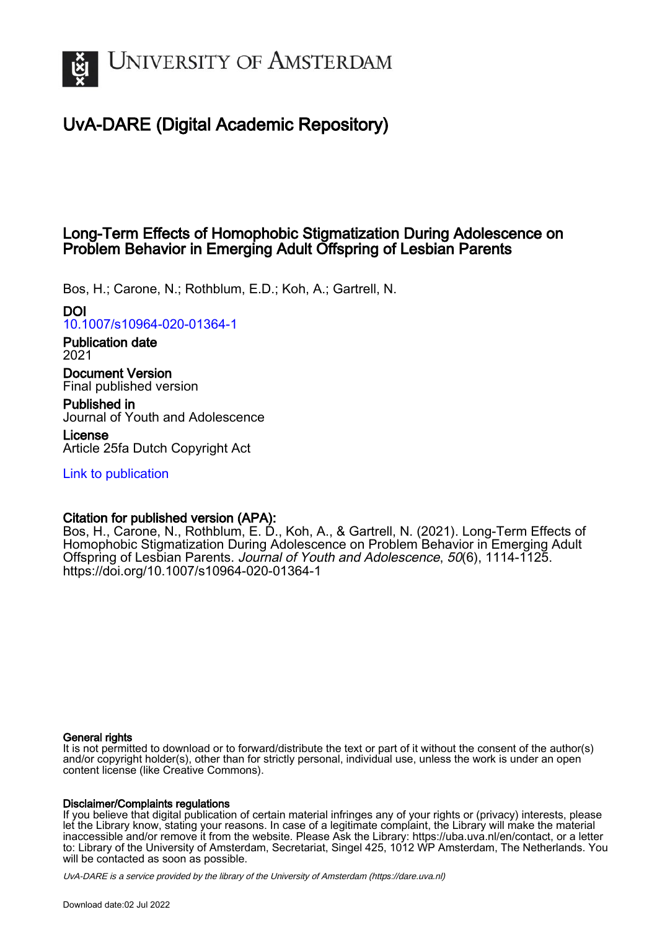

# UvA-DARE (Digital Academic Repository)

## Long-Term Effects of Homophobic Stigmatization During Adolescence on Problem Behavior in Emerging Adult Offspring of Lesbian Parents

Bos, H.; Carone, N.; Rothblum, E.D.; Koh, A.; Gartrell, N.

DOI

[10.1007/s10964-020-01364-1](https://doi.org/10.1007/s10964-020-01364-1)

Publication date 2021

Document Version Final published version

Published in Journal of Youth and Adolescence

License Article 25fa Dutch Copyright Act

[Link to publication](https://dare.uva.nl/personal/pure/en/publications/longterm-effects-of-homophobic-stigmatization-during-adolescence-on-problem-behavior-in-emerging-adult-offspring-of-lesbian-parents(567093bc-f99f-40b6-897c-cd17957d5c5f).html)

## Citation for published version (APA):

Bos, H., Carone, N., Rothblum, E. D., Koh, A., & Gartrell, N. (2021). Long-Term Effects of Homophobic Stigmatization During Adolescence on Problem Behavior in Emerging Adult Offspring of Lesbian Parents. Journal of Youth and Adolescence, 50(6), 1114-1125. <https://doi.org/10.1007/s10964-020-01364-1>

## General rights

It is not permitted to download or to forward/distribute the text or part of it without the consent of the author(s) and/or copyright holder(s), other than for strictly personal, individual use, unless the work is under an open content license (like Creative Commons).

## Disclaimer/Complaints regulations

If you believe that digital publication of certain material infringes any of your rights or (privacy) interests, please let the Library know, stating your reasons. In case of a legitimate complaint, the Library will make the material inaccessible and/or remove it from the website. Please Ask the Library: https://uba.uva.nl/en/contact, or a letter to: Library of the University of Amsterdam, Secretariat, Singel 425, 1012 WP Amsterdam, The Netherlands. You will be contacted as soon as possible.

UvA-DARE is a service provided by the library of the University of Amsterdam (http*s*://dare.uva.nl)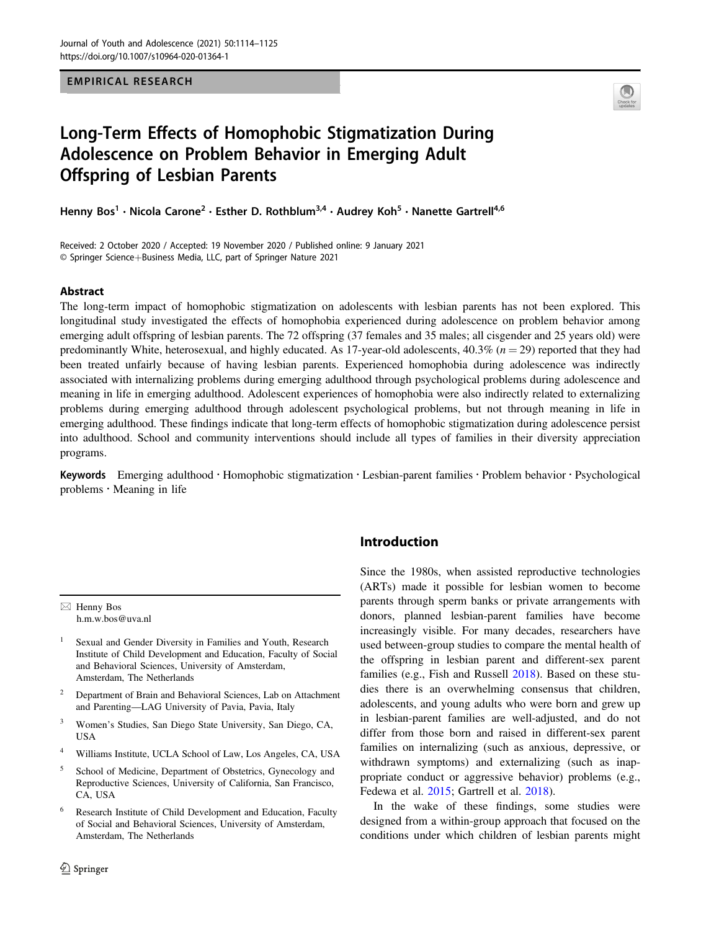EMPIRICAL RESEARCH



# Long-Term Effects of Homophobic Stigmatization During Adolescence on Problem Behavior in Emerging Adult Offspring of Lesbian Parents

Henny Bos<sup>1</sup> • Nicola Carone<sup>2</sup> • Esther D. Rothblum<sup>3,4</sup> • Audrey Koh<sup>5</sup> • Nanette Gartrell<sup>4,6</sup>

Received: 2 October 2020 / Accepted: 19 November 2020 / Published online: 9 January 2021 © Springer Science+Business Media, LLC, part of Springer Nature 2021

#### Abstract

The long-term impact of homophobic stigmatization on adolescents with lesbian parents has not been explored. This longitudinal study investigated the effects of homophobia experienced during adolescence on problem behavior among emerging adult offspring of lesbian parents. The 72 offspring (37 females and 35 males; all cisgender and 25 years old) were predominantly White, heterosexual, and highly educated. As 17-year-old adolescents,  $40.3\%$  ( $n = 29$ ) reported that they had been treated unfairly because of having lesbian parents. Experienced homophobia during adolescence was indirectly associated with internalizing problems during emerging adulthood through psychological problems during adolescence and meaning in life in emerging adulthood. Adolescent experiences of homophobia were also indirectly related to externalizing problems during emerging adulthood through adolescent psychological problems, but not through meaning in life in emerging adulthood. These findings indicate that long-term effects of homophobic stigmatization during adolescence persist into adulthood. School and community interventions should include all types of families in their diversity appreciation programs.

Keywords Emerging adulthood · Homophobic stigmatization · Lesbian-parent families · Problem behavior · Psychological problems · Meaning in life

 $\boxtimes$  Henny Bos [h.m.w.bos@uva.nl](mailto:h.m.w.bos@uva.nl)

- Sexual and Gender Diversity in Families and Youth, Research Institute of Child Development and Education, Faculty of Social and Behavioral Sciences, University of Amsterdam, Amsterdam, The Netherlands
- <sup>2</sup> Department of Brain and Behavioral Sciences, Lab on Attachment and Parenting—LAG University of Pavia, Pavia, Italy
- <sup>3</sup> Women's Studies, San Diego State University, San Diego, CA, USA
- <sup>4</sup> Williams Institute, UCLA School of Law, Los Angeles, CA, USA
- <sup>5</sup> School of Medicine, Department of Obstetrics, Gynecology and Reproductive Sciences, University of California, San Francisco, CA, USA
- <sup>6</sup> Research Institute of Child Development and Education, Faculty of Social and Behavioral Sciences, University of Amsterdam, Amsterdam, The Netherlands

## Introduction

Since the 1980s, when assisted reproductive technologies (ARTs) made it possible for lesbian women to become parents through sperm banks or private arrangements with donors, planned lesbian-parent families have become increasingly visible. For many decades, researchers have used between-group studies to compare the mental health of the offspring in lesbian parent and different-sex parent families (e.g., Fish and Russell [2018\)](#page-11-0). Based on these studies there is an overwhelming consensus that children, adolescents, and young adults who were born and grew up in lesbian-parent families are well-adjusted, and do not differ from those born and raised in different-sex parent families on internalizing (such as anxious, depressive, or withdrawn symptoms) and externalizing (such as inappropriate conduct or aggressive behavior) problems (e.g., Fedewa et al. [2015](#page-11-0); Gartrell et al. [2018\)](#page-11-0).

In the wake of these findings, some studies were designed from a within-group approach that focused on the conditions under which children of lesbian parents might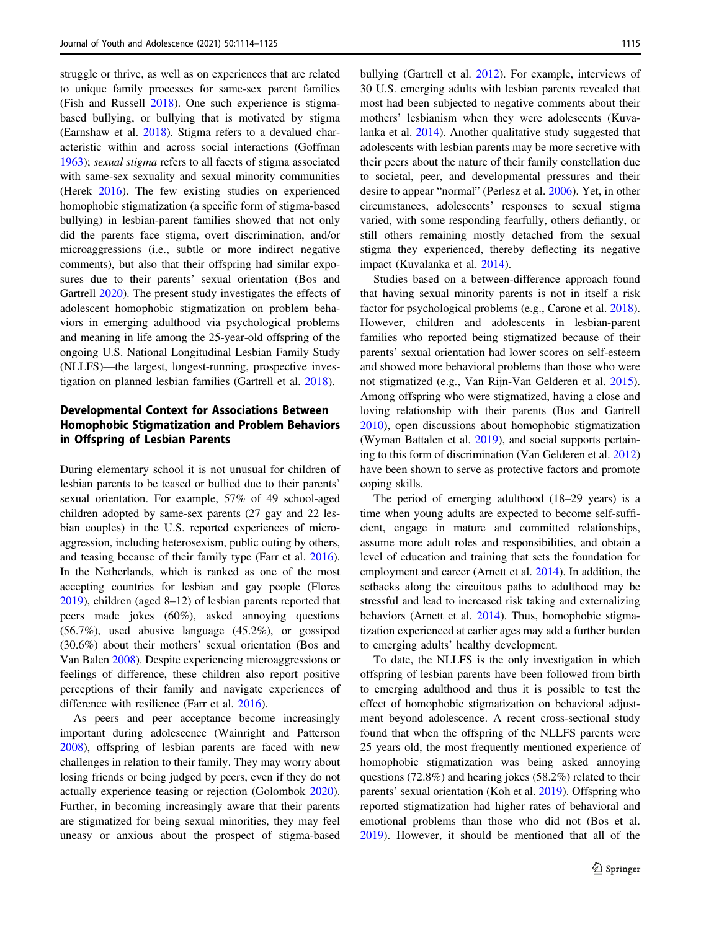struggle or thrive, as well as on experiences that are related to unique family processes for same-sex parent families (Fish and Russell [2018\)](#page-11-0). One such experience is stigmabased bullying, or bullying that is motivated by stigma (Earnshaw et al. [2018\)](#page-11-0). Stigma refers to a devalued characteristic within and across social interactions (Goffman [1963\)](#page-11-0); sexual stigma refers to all facets of stigma associated with same-sex sexuality and sexual minority communities (Herek [2016\)](#page-11-0). The few existing studies on experienced homophobic stigmatization (a specific form of stigma-based bullying) in lesbian-parent families showed that not only did the parents face stigma, overt discrimination, and/or microaggressions (i.e., subtle or more indirect negative comments), but also that their offspring had similar exposures due to their parents' sexual orientation (Bos and Gartrell [2020](#page-10-0)). The present study investigates the effects of adolescent homophobic stigmatization on problem behaviors in emerging adulthood via psychological problems and meaning in life among the 25-year-old offspring of the ongoing U.S. National Longitudinal Lesbian Family Study (NLLFS)—the largest, longest-running, prospective investigation on planned lesbian families (Gartrell et al. [2018\)](#page-11-0).

## Developmental Context for Associations Between Homophobic Stigmatization and Problem Behaviors in Offspring of Lesbian Parents

During elementary school it is not unusual for children of lesbian parents to be teased or bullied due to their parents' sexual orientation. For example, 57% of 49 school-aged children adopted by same-sex parents (27 gay and 22 lesbian couples) in the U.S. reported experiences of microaggression, including heterosexism, public outing by others, and teasing because of their family type (Farr et al. [2016](#page-11-0)). In the Netherlands, which is ranked as one of the most accepting countries for lesbian and gay people (Flores [2019\)](#page-11-0), children (aged 8–12) of lesbian parents reported that peers made jokes (60%), asked annoying questions (56.7%), used abusive language (45.2%), or gossiped (30.6%) about their mothers' sexual orientation (Bos and Van Balen [2008](#page-10-0)). Despite experiencing microaggressions or feelings of difference, these children also report positive perceptions of their family and navigate experiences of difference with resilience (Farr et al. [2016](#page-11-0)).

As peers and peer acceptance become increasingly important during adolescence (Wainright and Patterson [2008\)](#page-12-0), offspring of lesbian parents are faced with new challenges in relation to their family. They may worry about losing friends or being judged by peers, even if they do not actually experience teasing or rejection (Golombok [2020](#page-11-0)). Further, in becoming increasingly aware that their parents are stigmatized for being sexual minorities, they may feel uneasy or anxious about the prospect of stigma-based bullying (Gartrell et al. [2012\)](#page-11-0). For example, interviews of 30 U.S. emerging adults with lesbian parents revealed that most had been subjected to negative comments about their mothers' lesbianism when they were adolescents (Kuvalanka et al. [2014](#page-11-0)). Another qualitative study suggested that adolescents with lesbian parents may be more secretive with their peers about the nature of their family constellation due to societal, peer, and developmental pressures and their desire to appear "normal" (Perlesz et al. [2006](#page-11-0)). Yet, in other circumstances, adolescents' responses to sexual stigma varied, with some responding fearfully, others defiantly, or still others remaining mostly detached from the sexual stigma they experienced, thereby deflecting its negative impact (Kuvalanka et al. [2014\)](#page-11-0).

Studies based on a between-difference approach found that having sexual minority parents is not in itself a risk factor for psychological problems (e.g., Carone et al. [2018\)](#page-10-0). However, children and adolescents in lesbian-parent families who reported being stigmatized because of their parents' sexual orientation had lower scores on self-esteem and showed more behavioral problems than those who were not stigmatized (e.g., Van Rijn-Van Gelderen et al. [2015\)](#page-12-0). Among offspring who were stigmatized, having a close and loving relationship with their parents (Bos and Gartrell [2010](#page-10-0)), open discussions about homophobic stigmatization (Wyman Battalen et al. [2019\)](#page-12-0), and social supports pertaining to this form of discrimination (Van Gelderen et al. [2012](#page-12-0)) have been shown to serve as protective factors and promote coping skills.

The period of emerging adulthood (18–29 years) is a time when young adults are expected to become self-sufficient, engage in mature and committed relationships, assume more adult roles and responsibilities, and obtain a level of education and training that sets the foundation for employment and career (Arnett et al. [2014](#page-10-0)). In addition, the setbacks along the circuitous paths to adulthood may be stressful and lead to increased risk taking and externalizing behaviors (Arnett et al. [2014](#page-10-0)). Thus, homophobic stigmatization experienced at earlier ages may add a further burden to emerging adults' healthy development.

To date, the NLLFS is the only investigation in which offspring of lesbian parents have been followed from birth to emerging adulthood and thus it is possible to test the effect of homophobic stigmatization on behavioral adjustment beyond adolescence. A recent cross-sectional study found that when the offspring of the NLLFS parents were 25 years old, the most frequently mentioned experience of homophobic stigmatization was being asked annoying questions (72.8%) and hearing jokes (58.2%) related to their parents' sexual orientation (Koh et al. [2019\)](#page-11-0). Offspring who reported stigmatization had higher rates of behavioral and emotional problems than those who did not (Bos et al. [2019](#page-10-0)). However, it should be mentioned that all of the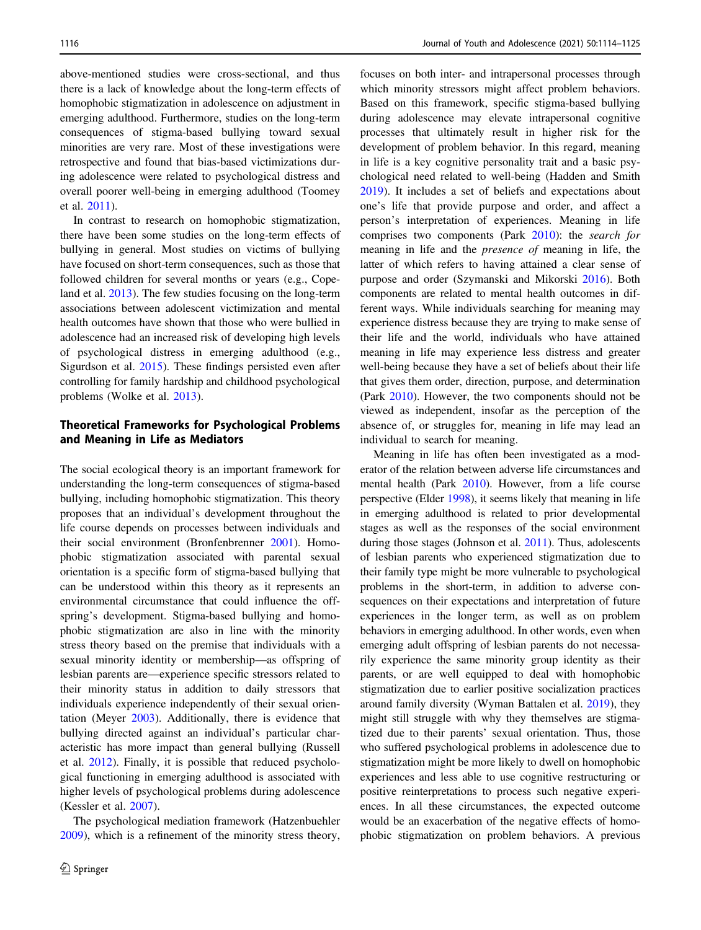above-mentioned studies were cross-sectional, and thus there is a lack of knowledge about the long-term effects of homophobic stigmatization in adolescence on adjustment in emerging adulthood. Furthermore, studies on the long-term consequences of stigma-based bullying toward sexual minorities are very rare. Most of these investigations were retrospective and found that bias-based victimizations during adolescence were related to psychological distress and overall poorer well-being in emerging adulthood (Toomey et al. [2011](#page-12-0)).

In contrast to research on homophobic stigmatization, there have been some studies on the long-term effects of bullying in general. Most studies on victims of bullying have focused on short-term consequences, such as those that followed children for several months or years (e.g., Copeland et al. [2013](#page-10-0)). The few studies focusing on the long-term associations between adolescent victimization and mental health outcomes have shown that those who were bullied in adolescence had an increased risk of developing high levels of psychological distress in emerging adulthood (e.g., Sigurdson et al. [2015](#page-11-0)). These findings persisted even after controlling for family hardship and childhood psychological problems (Wolke et al. [2013](#page-12-0)).

## Theoretical Frameworks for Psychological Problems and Meaning in Life as Mediators

The social ecological theory is an important framework for understanding the long-term consequences of stigma-based bullying, including homophobic stigmatization. This theory proposes that an individual's development throughout the life course depends on processes between individuals and their social environment (Bronfenbrenner [2001\)](#page-10-0). Homophobic stigmatization associated with parental sexual orientation is a specific form of stigma-based bullying that can be understood within this theory as it represents an environmental circumstance that could influence the offspring's development. Stigma-based bullying and homophobic stigmatization are also in line with the minority stress theory based on the premise that individuals with a sexual minority identity or membership—as offspring of lesbian parents are—experience specific stressors related to their minority status in addition to daily stressors that individuals experience independently of their sexual orientation (Meyer [2003\)](#page-11-0). Additionally, there is evidence that bullying directed against an individual's particular characteristic has more impact than general bullying (Russell et al. [2012\)](#page-11-0). Finally, it is possible that reduced psychological functioning in emerging adulthood is associated with higher levels of psychological problems during adolescence (Kessler et al. [2007](#page-11-0)).

The psychological mediation framework (Hatzenbuehler [2009\)](#page-11-0), which is a refinement of the minority stress theory, focuses on both inter- and intrapersonal processes through which minority stressors might affect problem behaviors. Based on this framework, specific stigma-based bullying during adolescence may elevate intrapersonal cognitive processes that ultimately result in higher risk for the development of problem behavior. In this regard, meaning in life is a key cognitive personality trait and a basic psychological need related to well-being (Hadden and Smith [2019](#page-11-0)). It includes a set of beliefs and expectations about one's life that provide purpose and order, and affect a person's interpretation of experiences. Meaning in life comprises two components (Park [2010](#page-11-0)): the search for meaning in life and the presence of meaning in life, the latter of which refers to having attained a clear sense of purpose and order (Szymanski and Mikorski [2016](#page-12-0)). Both components are related to mental health outcomes in different ways. While individuals searching for meaning may experience distress because they are trying to make sense of their life and the world, individuals who have attained meaning in life may experience less distress and greater well-being because they have a set of beliefs about their life that gives them order, direction, purpose, and determination (Park [2010](#page-11-0)). However, the two components should not be viewed as independent, insofar as the perception of the absence of, or struggles for, meaning in life may lead an individual to search for meaning.

Meaning in life has often been investigated as a moderator of the relation between adverse life circumstances and mental health (Park [2010\)](#page-11-0). However, from a life course perspective (Elder [1998\)](#page-11-0), it seems likely that meaning in life in emerging adulthood is related to prior developmental stages as well as the responses of the social environment during those stages (Johnson et al. [2011\)](#page-11-0). Thus, adolescents of lesbian parents who experienced stigmatization due to their family type might be more vulnerable to psychological problems in the short-term, in addition to adverse consequences on their expectations and interpretation of future experiences in the longer term, as well as on problem behaviors in emerging adulthood. In other words, even when emerging adult offspring of lesbian parents do not necessarily experience the same minority group identity as their parents, or are well equipped to deal with homophobic stigmatization due to earlier positive socialization practices around family diversity (Wyman Battalen et al. [2019\)](#page-12-0), they might still struggle with why they themselves are stigmatized due to their parents' sexual orientation. Thus, those who suffered psychological problems in adolescence due to stigmatization might be more likely to dwell on homophobic experiences and less able to use cognitive restructuring or positive reinterpretations to process such negative experiences. In all these circumstances, the expected outcome would be an exacerbation of the negative effects of homophobic stigmatization on problem behaviors. A previous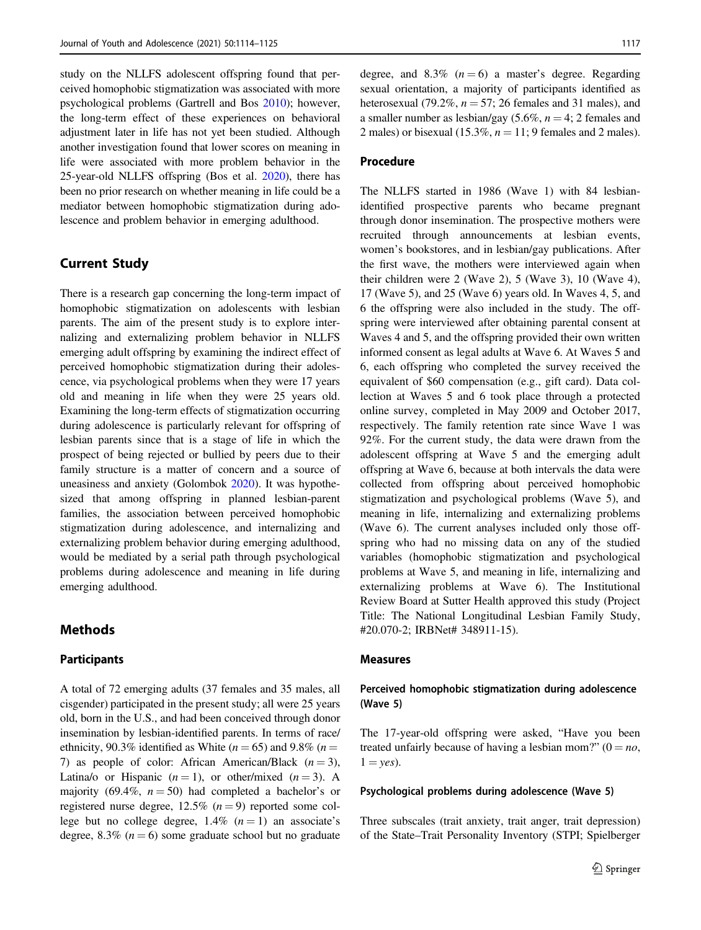study on the NLLFS adolescent offspring found that perceived homophobic stigmatization was associated with more psychological problems (Gartrell and Bos [2010](#page-11-0)); however, the long-term effect of these experiences on behavioral adjustment later in life has not yet been studied. Although another investigation found that lower scores on meaning in life were associated with more problem behavior in the 25-year-old NLLFS offspring (Bos et al. [2020](#page-10-0)), there has been no prior research on whether meaning in life could be a mediator between homophobic stigmatization during adolescence and problem behavior in emerging adulthood.

## Current Study

There is a research gap concerning the long-term impact of homophobic stigmatization on adolescents with lesbian parents. The aim of the present study is to explore internalizing and externalizing problem behavior in NLLFS emerging adult offspring by examining the indirect effect of perceived homophobic stigmatization during their adolescence, via psychological problems when they were 17 years old and meaning in life when they were 25 years old. Examining the long-term effects of stigmatization occurring during adolescence is particularly relevant for offspring of lesbian parents since that is a stage of life in which the prospect of being rejected or bullied by peers due to their family structure is a matter of concern and a source of uneasiness and anxiety (Golombok [2020](#page-11-0)). It was hypothesized that among offspring in planned lesbian-parent families, the association between perceived homophobic stigmatization during adolescence, and internalizing and externalizing problem behavior during emerging adulthood, would be mediated by a serial path through psychological problems during adolescence and meaning in life during emerging adulthood.

## Methods

## Participants

A total of 72 emerging adults (37 females and 35 males, all cisgender) participated in the present study; all were 25 years old, born in the U.S., and had been conceived through donor insemination by lesbian-identified parents. In terms of race/ ethnicity, 90.3% identified as White ( $n = 65$ ) and 9.8% ( $n =$ 7) as people of color: African American/Black  $(n = 3)$ , Latina/o or Hispanic  $(n = 1)$ , or other/mixed  $(n = 3)$ . A majority (69.4%,  $n = 50$ ) had completed a bachelor's or registered nurse degree,  $12.5\%$   $(n = 9)$  reported some college but no college degree,  $1.4\%$   $(n = 1)$  an associate's degree, 8.3% ( $n = 6$ ) some graduate school but no graduate degree, and 8.3%  $(n=6)$  a master's degree. Regarding sexual orientation, a majority of participants identified as heterosexual (79.2%,  $n = 57$ ; 26 females and 31 males), and a smaller number as lesbian/gay  $(5.6\%, n=4; 2 \text{ females and})$ 2 males) or bisexual (15.3%,  $n = 11$ ; 9 females and 2 males).

## Procedure

The NLLFS started in 1986 (Wave 1) with 84 lesbianidentified prospective parents who became pregnant through donor insemination. The prospective mothers were recruited through announcements at lesbian events, women's bookstores, and in lesbian/gay publications. After the first wave, the mothers were interviewed again when their children were 2 (Wave 2), 5 (Wave 3), 10 (Wave 4), 17 (Wave 5), and 25 (Wave 6) years old. In Waves 4, 5, and 6 the offspring were also included in the study. The offspring were interviewed after obtaining parental consent at Waves 4 and 5, and the offspring provided their own written informed consent as legal adults at Wave 6. At Waves 5 and 6, each offspring who completed the survey received the equivalent of \$60 compensation (e.g., gift card). Data collection at Waves 5 and 6 took place through a protected online survey, completed in May 2009 and October 2017, respectively. The family retention rate since Wave 1 was 92%. For the current study, the data were drawn from the adolescent offspring at Wave 5 and the emerging adult offspring at Wave 6, because at both intervals the data were collected from offspring about perceived homophobic stigmatization and psychological problems (Wave 5), and meaning in life, internalizing and externalizing problems (Wave 6). The current analyses included only those offspring who had no missing data on any of the studied variables (homophobic stigmatization and psychological problems at Wave 5, and meaning in life, internalizing and externalizing problems at Wave 6). The Institutional Review Board at Sutter Health approved this study (Project Title: The National Longitudinal Lesbian Family Study, #20.070-2; IRBNet# 348911-15).

#### Measures

## Perceived homophobic stigmatization during adolescence (Wave 5)

The 17-year-old offspring were asked, "Have you been treated unfairly because of having a lesbian mom?" ( $0 = no$ ,  $1 = yes$ ).

#### Psychological problems during adolescence (Wave 5)

Three subscales (trait anxiety, trait anger, trait depression) of the State–Trait Personality Inventory (STPI; Spielberger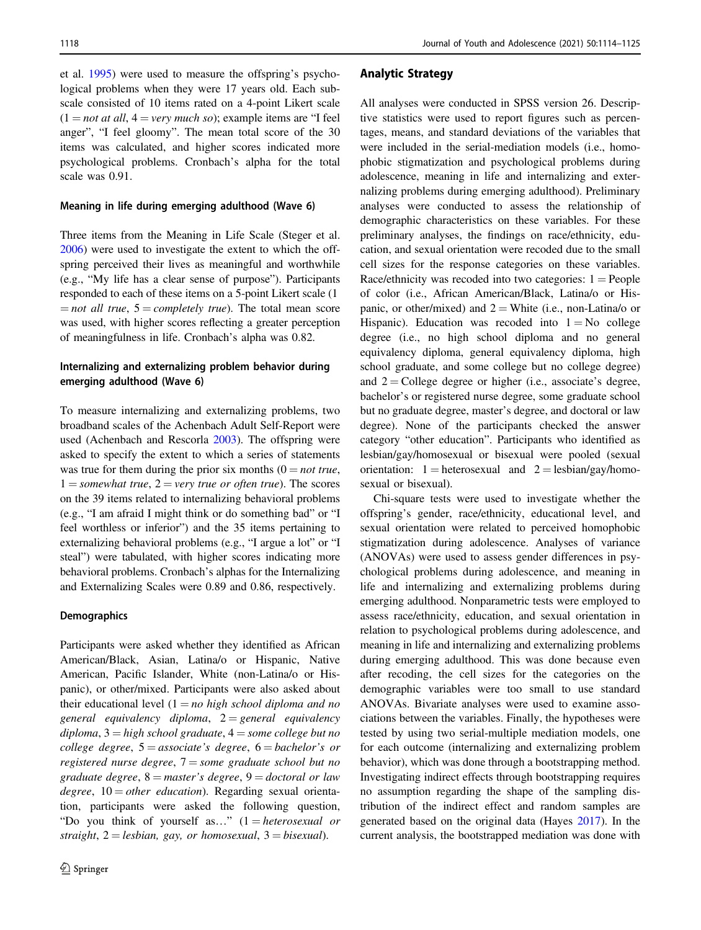et al. [1995](#page-11-0)) were used to measure the offspring's psychological problems when they were 17 years old. Each subscale consisted of 10 items rated on a 4-point Likert scale  $(1 = not at all, 4 = very much so)$ ; example items are "I feel anger", "I feel gloomy". The mean total score of the 30 items was calculated, and higher scores indicated more psychological problems. Cronbach's alpha for the total scale was 0.91.

#### Meaning in life during emerging adulthood (Wave 6)

Three items from the Meaning in Life Scale (Steger et al. [2006\)](#page-11-0) were used to investigate the extent to which the offspring perceived their lives as meaningful and worthwhile (e.g., "My life has a clear sense of purpose"). Participants responded to each of these items on a 5-point Likert scale (1  $=$  not all true,  $5 =$  completely true). The total mean score was used, with higher scores reflecting a greater perception of meaningfulness in life. Cronbach's alpha was 0.82.

## Internalizing and externalizing problem behavior during emerging adulthood (Wave 6)

To measure internalizing and externalizing problems, two broadband scales of the Achenbach Adult Self-Report were used (Achenbach and Rescorla [2003](#page-10-0)). The offspring were asked to specify the extent to which a series of statements was true for them during the prior six months  $(0 = not true,$  $1 =$ somewhat true,  $2 =$ very true or often true). The scores on the 39 items related to internalizing behavioral problems (e.g., "I am afraid I might think or do something bad" or "I feel worthless or inferior") and the 35 items pertaining to externalizing behavioral problems (e.g., "I argue a lot" or "I steal") were tabulated, with higher scores indicating more behavioral problems. Cronbach's alphas for the Internalizing and Externalizing Scales were 0.89 and 0.86, respectively.

#### **Demographics**

Participants were asked whether they identified as African American/Black, Asian, Latina/o or Hispanic, Native American, Pacific Islander, White (non-Latina/o or Hispanic), or other/mixed. Participants were also asked about their educational level  $(1 = no high school diploma and no$ general equivalency diploma,  $2 =$  general equivalency diploma,  $3 = high$  school graduate,  $4 = some$  college but no college degree,  $5 =$  associate's degree,  $6 =$  bachelor's or registered nurse degree,  $7 =$ some graduate school but no graduate degree,  $8 =$  master's degree,  $9 =$  doctoral or law degree,  $10 = other$  education). Regarding sexual orientation, participants were asked the following question, "Do you think of yourself as..."  $(1 = \text{heterosexual} \text{ or }$ straight,  $2 =$  lesbian, gay, or homosexual,  $3 =$  bisexual).

#### Analytic Strategy

All analyses were conducted in SPSS version 26. Descriptive statistics were used to report figures such as percentages, means, and standard deviations of the variables that were included in the serial-mediation models (i.e., homophobic stigmatization and psychological problems during adolescence, meaning in life and internalizing and externalizing problems during emerging adulthood). Preliminary analyses were conducted to assess the relationship of demographic characteristics on these variables. For these preliminary analyses, the findings on race/ethnicity, education, and sexual orientation were recoded due to the small cell sizes for the response categories on these variables. Race/ethnicity was recoded into two categories:  $1 =$  People of color (i.e., African American/Black, Latina/o or Hispanic, or other/mixed) and  $2 =$  White (i.e., non-Latina/o or Hispanic). Education was recoded into  $1 = No$  college degree (i.e., no high school diploma and no general equivalency diploma, general equivalency diploma, high school graduate, and some college but no college degree) and  $2 =$  College degree or higher (i.e., associate's degree, bachelor's or registered nurse degree, some graduate school but no graduate degree, master's degree, and doctoral or law degree). None of the participants checked the answer category "other education". Participants who identified as lesbian/gay/homosexual or bisexual were pooled (sexual orientation:  $1 =$  heterosexual and  $2 =$  lesbian/gay/homosexual or bisexual).

Chi-square tests were used to investigate whether the offspring's gender, race/ethnicity, educational level, and sexual orientation were related to perceived homophobic stigmatization during adolescence. Analyses of variance (ANOVAs) were used to assess gender differences in psychological problems during adolescence, and meaning in life and internalizing and externalizing problems during emerging adulthood. Nonparametric tests were employed to assess race/ethnicity, education, and sexual orientation in relation to psychological problems during adolescence, and meaning in life and internalizing and externalizing problems during emerging adulthood. This was done because even after recoding, the cell sizes for the categories on the demographic variables were too small to use standard ANOVAs. Bivariate analyses were used to examine associations between the variables. Finally, the hypotheses were tested by using two serial-multiple mediation models, one for each outcome (internalizing and externalizing problem behavior), which was done through a bootstrapping method. Investigating indirect effects through bootstrapping requires no assumption regarding the shape of the sampling distribution of the indirect effect and random samples are generated based on the original data (Hayes [2017\)](#page-11-0). In the current analysis, the bootstrapped mediation was done with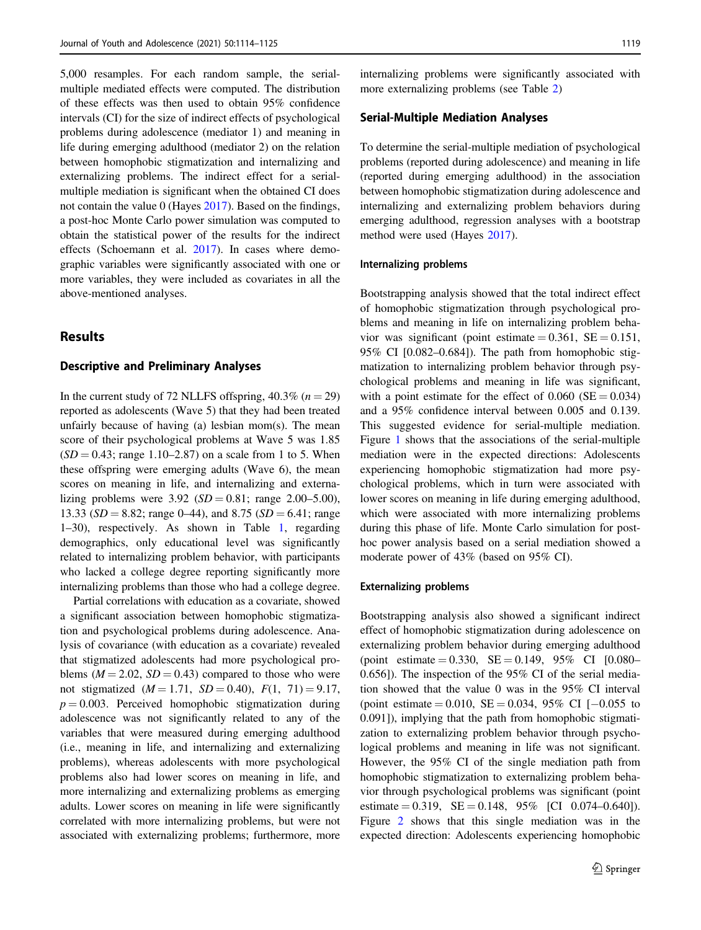5,000 resamples. For each random sample, the serialmultiple mediated effects were computed. The distribution of these effects was then used to obtain 95% confidence intervals (CI) for the size of indirect effects of psychological problems during adolescence (mediator 1) and meaning in life during emerging adulthood (mediator 2) on the relation between homophobic stigmatization and internalizing and externalizing problems. The indirect effect for a serialmultiple mediation is significant when the obtained CI does not contain the value 0 (Hayes [2017](#page-11-0)). Based on the findings, a post-hoc Monte Carlo power simulation was computed to obtain the statistical power of the results for the indirect effects (Schoemann et al. [2017](#page-11-0)). In cases where demographic variables were significantly associated with one or more variables, they were included as covariates in all the above-mentioned analyses.

## **Results**

## Descriptive and Preliminary Analyses

In the current study of 72 NLLFS offspring,  $40.3\%$  ( $n = 29$ ) reported as adolescents (Wave 5) that they had been treated unfairly because of having (a) lesbian mom(s). The mean score of their psychological problems at Wave 5 was 1.85  $(SD = 0.43;$  range 1.10–2.87) on a scale from 1 to 5. When these offspring were emerging adults (Wave 6), the mean scores on meaning in life, and internalizing and externalizing problems were  $3.92$  (SD = 0.81; range 2.00–5.00), 13.33 ( $SD = 8.82$ ; range 0–44), and 8.75 ( $SD = 6.41$ ; range 1–30), respectively. As shown in Table [1,](#page-7-0) regarding demographics, only educational level was significantly related to internalizing problem behavior, with participants who lacked a college degree reporting significantly more internalizing problems than those who had a college degree.

Partial correlations with education as a covariate, showed a significant association between homophobic stigmatization and psychological problems during adolescence. Analysis of covariance (with education as a covariate) revealed that stigmatized adolescents had more psychological problems ( $M = 2.02$ ,  $SD = 0.43$ ) compared to those who were not stigmatized  $(M = 1.71, SD = 0.40), F(1, 71) = 9.17,$  $p = 0.003$ . Perceived homophobic stigmatization during adolescence was not significantly related to any of the variables that were measured during emerging adulthood (i.e., meaning in life, and internalizing and externalizing problems), whereas adolescents with more psychological problems also had lower scores on meaning in life, and more internalizing and externalizing problems as emerging adults. Lower scores on meaning in life were significantly correlated with more internalizing problems, but were not associated with externalizing problems; furthermore, more internalizing problems were significantly associated with more externalizing problems (see Table [2\)](#page-8-0)

#### Serial-Multiple Mediation Analyses

To determine the serial-multiple mediation of psychological problems (reported during adolescence) and meaning in life (reported during emerging adulthood) in the association between homophobic stigmatization during adolescence and internalizing and externalizing problem behaviors during emerging adulthood, regression analyses with a bootstrap method were used (Hayes [2017](#page-11-0)).

#### Internalizing problems

Bootstrapping analysis showed that the total indirect effect of homophobic stigmatization through psychological problems and meaning in life on internalizing problem behavior was significant (point estimate  $= 0.361$ ,  $SE = 0.151$ , 95% CI [0.082–0.684]). The path from homophobic stigmatization to internalizing problem behavior through psychological problems and meaning in life was significant, with a point estimate for the effect of  $0.060$  (SE =  $0.034$ ) and a 95% confidence interval between 0.005 and 0.139. This suggested evidence for serial-multiple mediation. Figure [1](#page-8-0) shows that the associations of the serial-multiple mediation were in the expected directions: Adolescents experiencing homophobic stigmatization had more psychological problems, which in turn were associated with lower scores on meaning in life during emerging adulthood, which were associated with more internalizing problems during this phase of life. Monte Carlo simulation for posthoc power analysis based on a serial mediation showed a moderate power of 43% (based on 95% CI).

#### Externalizing problems

Bootstrapping analysis also showed a significant indirect effect of homophobic stigmatization during adolescence on externalizing problem behavior during emerging adulthood (point estimate  $= 0.330$ ,  $SE = 0.149$ ,  $95\%$  CI  $[0.080 -$ 0.656]). The inspection of the 95% CI of the serial mediation showed that the value 0 was in the 95% CI interval (point estimate = 0.010,  $SE = 0.034$ , 95% CI [−0.055 to 0.091]), implying that the path from homophobic stigmatization to externalizing problem behavior through psychological problems and meaning in life was not significant. However, the 95% CI of the single mediation path from homophobic stigmatization to externalizing problem behavior through psychological problems was significant (point estimate  $= 0.319$ ,  $SE = 0.148$ ,  $95\%$  [CI 0.074-0.640]). Figure [2](#page-9-0) shows that this single mediation was in the expected direction: Adolescents experiencing homophobic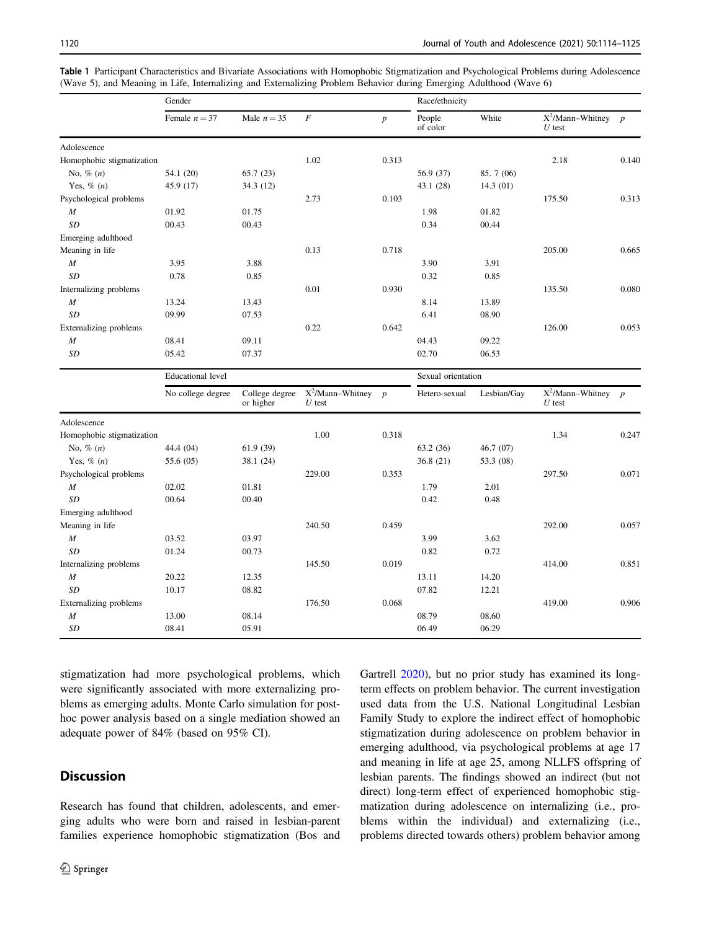|                               | Gender                   |                             |                                                  |                  | Race/ethnicity     |             |                                  |       |
|-------------------------------|--------------------------|-----------------------------|--------------------------------------------------|------------------|--------------------|-------------|----------------------------------|-------|
|                               | Female $n = 37$          | Male $n = 35$               | F                                                | $\boldsymbol{p}$ | People<br>of color | White       | $X^2/Mann-Whitney$ p<br>$U$ test |       |
| Adolescence                   |                          |                             |                                                  |                  |                    |             |                                  |       |
| Homophobic stigmatization     |                          |                             | 1.02                                             | 0.313            |                    |             | 2.18                             | 0.140 |
| No, $\%$ $(n)$                | 54.1 (20)                | 65.7(23)                    |                                                  |                  | 56.9 (37)          | 85.7 (06)   |                                  |       |
| Yes, $\%$ $(n)$               | 45.9 (17)                | 34.3 (12)                   |                                                  |                  | 43.1 (28)          | 14.3(01)    |                                  |       |
| Psychological problems        |                          |                             | 2.73                                             | 0.103            |                    |             | 175.50                           | 0.313 |
| M                             | 01.92                    | 01.75                       |                                                  |                  | 1.98               | 01.82       |                                  |       |
| SD                            | 00.43                    | 00.43                       |                                                  |                  | 0.34               | 00.44       |                                  |       |
| Emerging adulthood            |                          |                             |                                                  |                  |                    |             |                                  |       |
| Meaning in life               |                          |                             | 0.13                                             | 0.718            |                    |             | 205.00                           | 0.665 |
| $\boldsymbol{M}$              | 3.95                     | 3.88                        |                                                  |                  | 3.90               | 3.91        |                                  |       |
| <b>SD</b>                     | 0.78                     | 0.85                        |                                                  |                  | 0.32               | 0.85        |                                  |       |
| Internalizing problems        |                          |                             | 0.01                                             | 0.930            |                    |             | 135.50                           | 0.080 |
| $\boldsymbol{M}$              | 13.24                    | 13.43                       |                                                  |                  | 8.14               | 13.89       |                                  |       |
| <b>SD</b>                     | 09.99                    | 07.53                       |                                                  |                  | 6.41               | 08.90       |                                  |       |
| <b>Externalizing problems</b> |                          |                             | 0.22                                             | 0.642            |                    |             | 126.00                           | 0.053 |
| $\cal M$                      | 08.41                    | 09.11                       |                                                  |                  | 04.43              | 09.22       |                                  |       |
| SD                            | 05.42                    | 07.37                       |                                                  |                  | 02.70              | 06.53       |                                  |       |
|                               | <b>Educational</b> level |                             |                                                  |                  | Sexual orientation |             |                                  |       |
|                               | No college degree        | College degree<br>or higher | $X^2$ /Mann-Whitney $p$<br>$\boldsymbol{U}$ test |                  | Hetero-sexual      | Lesbian/Gay | $X^2/Mann-Whitney$ p<br>$U$ test |       |
| Adolescence                   |                          |                             |                                                  |                  |                    |             |                                  |       |
| Homophobic stigmatization     |                          |                             | 1.00                                             | 0.318            |                    |             | 1.34                             | 0.247 |
| No, $\%$ (n)                  | 44.4 (04)                | 61.9(39)                    |                                                  |                  | 63.2 (36)          | 46.7 (07)   |                                  |       |
| Yes, $\%$ $(n)$               | 55.6 (05)                | 38.1 (24)                   |                                                  |                  | 36.8(21)           | 53.3 (08)   |                                  |       |
| Psychological problems        |                          |                             | 229.00                                           | 0.353            |                    |             | 297.50                           | 0.071 |
| $\boldsymbol{M}$              | 02.02                    | 01.81                       |                                                  |                  | 1.79               | 2.01        |                                  |       |
| <b>SD</b>                     | 00.64                    | 00.40                       |                                                  |                  | 0.42               | 0.48        |                                  |       |
| Emerging adulthood            |                          |                             |                                                  |                  |                    |             |                                  |       |
| Meaning in life               |                          |                             | 240.50                                           | 0.459            |                    |             | 292.00                           | 0.057 |
| $\cal M$                      | 03.52                    | 03.97                       |                                                  |                  | 3.99               | 3.62        |                                  |       |
| SD                            | 01.24                    | 00.73                       |                                                  |                  | 0.82               | 0.72        |                                  |       |
| Internalizing problems        |                          |                             | 145.50                                           | 0.019            |                    |             | 414.00                           | 0.851 |
| $\boldsymbol{M}$              | 20.22                    | 12.35                       |                                                  |                  | 13.11              | 14.20       |                                  |       |
| <b>SD</b>                     | 10.17                    | 08.82                       |                                                  |                  | 07.82              | 12.21       |                                  |       |
| Externalizing problems        |                          |                             | 176.50                                           | 0.068            |                    |             | 419.00                           | 0.906 |
| M                             | 13.00                    | 08.14                       |                                                  |                  | 08.79              | 08.60       |                                  |       |
| SD                            | 08.41                    | 05.91                       |                                                  |                  | 06.49              | 06.29       |                                  |       |

<span id="page-7-0"></span>Table 1 Participant Characteristics and Bivariate Associations with Homophobic Stigmatization and Psychological Problems during Adolescence (Wave 5), and Meaning in Life, Internalizing and Externalizing Problem Behavior during Emerging Adulthood (Wave 6)

stigmatization had more psychological problems, which were significantly associated with more externalizing problems as emerging adults. Monte Carlo simulation for posthoc power analysis based on a single mediation showed an adequate power of 84% (based on 95% CI).

## **Discussion**

Research has found that children, adolescents, and emerging adults who were born and raised in lesbian-parent families experience homophobic stigmatization (Bos and Gartrell [2020\)](#page-10-0), but no prior study has examined its longterm effects on problem behavior. The current investigation used data from the U.S. National Longitudinal Lesbian Family Study to explore the indirect effect of homophobic stigmatization during adolescence on problem behavior in emerging adulthood, via psychological problems at age 17 and meaning in life at age 25, among NLLFS offspring of lesbian parents. The findings showed an indirect (but not direct) long-term effect of experienced homophobic stigmatization during adolescence on internalizing (i.e., problems within the individual) and externalizing (i.e., problems directed towards others) problem behavior among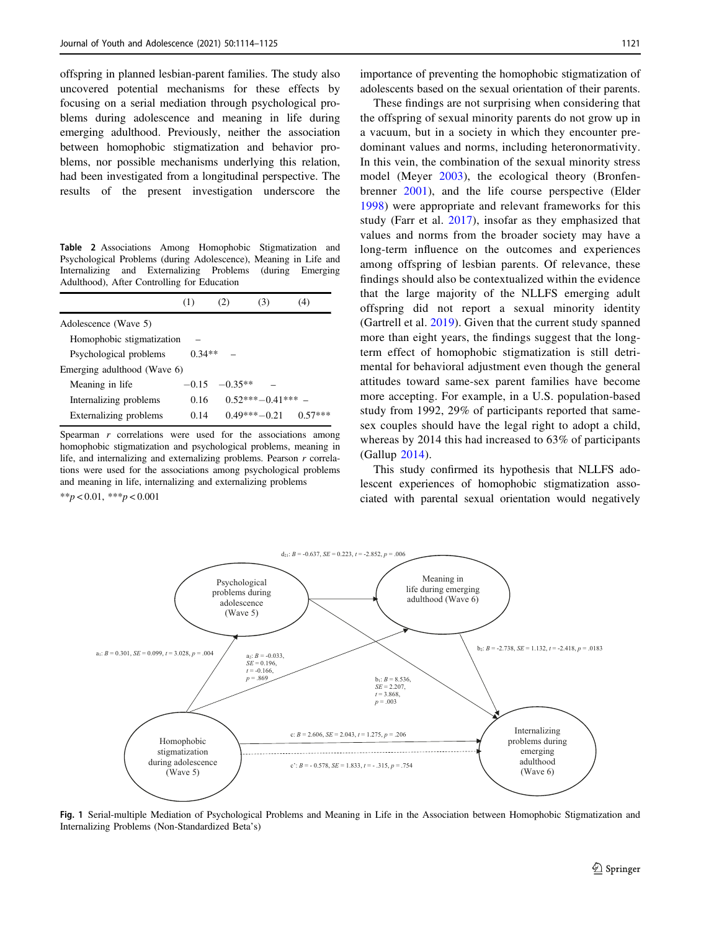<span id="page-8-0"></span>offspring in planned lesbian-parent families. The study also uncovered potential mechanisms for these effects by focusing on a serial mediation through psychological problems during adolescence and meaning in life during emerging adulthood. Previously, neither the association between homophobic stigmatization and behavior problems, nor possible mechanisms underlying this relation, had been investigated from a longitudinal perspective. The results of the present investigation underscore the

Table 2 Associations Among Homophobic Stigmatization and Psychological Problems (during Adolescence), Meaning in Life and Internalizing and Externalizing Problems (during Emerging Adulthood), After Controlling for Education

|                                    | (1)     | (2)       | (3)                 | (4)       |  |  |  |
|------------------------------------|---------|-----------|---------------------|-----------|--|--|--|
| Adolescence (Wave 5)               |         |           |                     |           |  |  |  |
| Homophobic stigmatization          |         |           |                     |           |  |  |  |
| $0.34**$<br>Psychological problems |         |           |                     |           |  |  |  |
| Emerging adulthood (Wave 6)        |         |           |                     |           |  |  |  |
| Meaning in life                    | $-0.15$ | $-0.35**$ |                     |           |  |  |  |
| Internalizing problems             | 0.16    |           | $0.52***-0.41***$ - |           |  |  |  |
| Externalizing problems             | 0.14    |           | $0.49***-0.21$      | $0.57***$ |  |  |  |

Spearman  $r$  correlations were used for the associations among homophobic stigmatization and psychological problems, meaning in life, and internalizing and externalizing problems. Pearson r correlations were used for the associations among psychological problems and meaning in life, internalizing and externalizing problems

\*\*p < 0.01, \*\*\*p < 0.001

importance of preventing the homophobic stigmatization of adolescents based on the sexual orientation of their parents.

These findings are not surprising when considering that the offspring of sexual minority parents do not grow up in a vacuum, but in a society in which they encounter predominant values and norms, including heteronormativity. In this vein, the combination of the sexual minority stress model (Meyer [2003\)](#page-11-0), the ecological theory (Bronfenbrenner [2001\)](#page-10-0), and the life course perspective (Elder [1998\)](#page-11-0) were appropriate and relevant frameworks for this study (Farr et al. [2017\)](#page-11-0), insofar as they emphasized that values and norms from the broader society may have a long-term influence on the outcomes and experiences among offspring of lesbian parents. Of relevance, these findings should also be contextualized within the evidence that the large majority of the NLLFS emerging adult offspring did not report a sexual minority identity (Gartrell et al. [2019](#page-11-0)). Given that the current study spanned more than eight years, the findings suggest that the longterm effect of homophobic stigmatization is still detrimental for behavioral adjustment even though the general attitudes toward same-sex parent families have become more accepting. For example, in a U.S. population-based study from 1992, 29% of participants reported that samesex couples should have the legal right to adopt a child, whereas by 2014 this had increased to 63% of participants (Gallup [2014](#page-11-0)).

This study confirmed its hypothesis that NLLFS adolescent experiences of homophobic stigmatization associated with parental sexual orientation would negatively



Fig. 1 Serial-multiple Mediation of Psychological Problems and Meaning in Life in the Association between Homophobic Stigmatization and Internalizing Problems (Non-Standardized Beta's)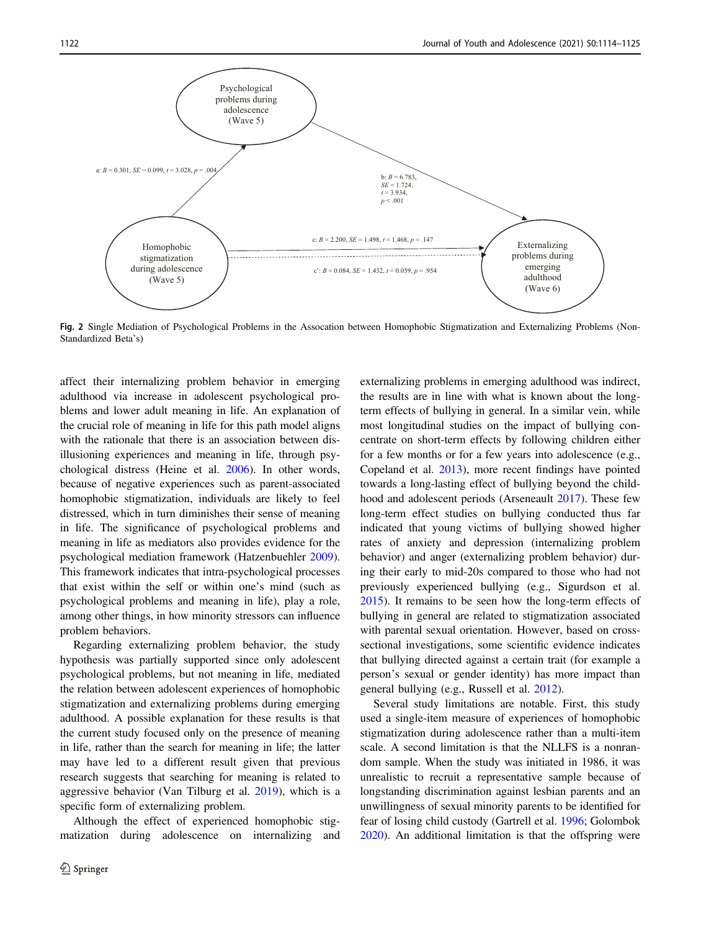<span id="page-9-0"></span>

Fig. 2 Single Mediation of Psychological Problems in the Assocation between Homophobic Stigmatization and Externalizing Problems (Non-Standardized Beta's)

affect their internalizing problem behavior in emerging adulthood via increase in adolescent psychological problems and lower adult meaning in life. An explanation of the crucial role of meaning in life for this path model aligns with the rationale that there is an association between disillusioning experiences and meaning in life, through psychological distress (Heine et al. [2006](#page-11-0)). In other words, because of negative experiences such as parent-associated homophobic stigmatization, individuals are likely to feel distressed, which in turn diminishes their sense of meaning in life. The significance of psychological problems and meaning in life as mediators also provides evidence for the psychological mediation framework (Hatzenbuehler [2009](#page-11-0)). This framework indicates that intra-psychological processes that exist within the self or within one's mind (such as psychological problems and meaning in life), play a role, among other things, in how minority stressors can influence problem behaviors.

Regarding externalizing problem behavior, the study hypothesis was partially supported since only adolescent psychological problems, but not meaning in life, mediated the relation between adolescent experiences of homophobic stigmatization and externalizing problems during emerging adulthood. A possible explanation for these results is that the current study focused only on the presence of meaning in life, rather than the search for meaning in life; the latter may have led to a different result given that previous research suggests that searching for meaning is related to aggressive behavior (Van Tilburg et al. [2019\)](#page-12-0), which is a specific form of externalizing problem.

Although the effect of experienced homophobic stigmatization during adolescence on internalizing and externalizing problems in emerging adulthood was indirect, the results are in line with what is known about the longterm effects of bullying in general. In a similar vein, while most longitudinal studies on the impact of bullying concentrate on short-term effects by following children either for a few months or for a few years into adolescence (e.g., Copeland et al. [2013](#page-10-0)), more recent findings have pointed towards a long-lasting effect of bullying beyond the childhood and adolescent periods (Arseneault [2017\)](#page-10-0). These few long-term effect studies on bullying conducted thus far indicated that young victims of bullying showed higher rates of anxiety and depression (internalizing problem behavior) and anger (externalizing problem behavior) during their early to mid-20s compared to those who had not previously experienced bullying (e.g., Sigurdson et al. [2015](#page-11-0)). It remains to be seen how the long-term effects of bullying in general are related to stigmatization associated with parental sexual orientation. However, based on crosssectional investigations, some scientific evidence indicates that bullying directed against a certain trait (for example a person's sexual or gender identity) has more impact than general bullying (e.g., Russell et al. [2012\)](#page-11-0).

Several study limitations are notable. First, this study used a single-item measure of experiences of homophobic stigmatization during adolescence rather than a multi-item scale. A second limitation is that the NLLFS is a nonrandom sample. When the study was initiated in 1986, it was unrealistic to recruit a representative sample because of longstanding discrimination against lesbian parents and an unwillingness of sexual minority parents to be identified for fear of losing child custody (Gartrell et al. [1996](#page-11-0); Golombok [2020](#page-11-0)). An additional limitation is that the offspring were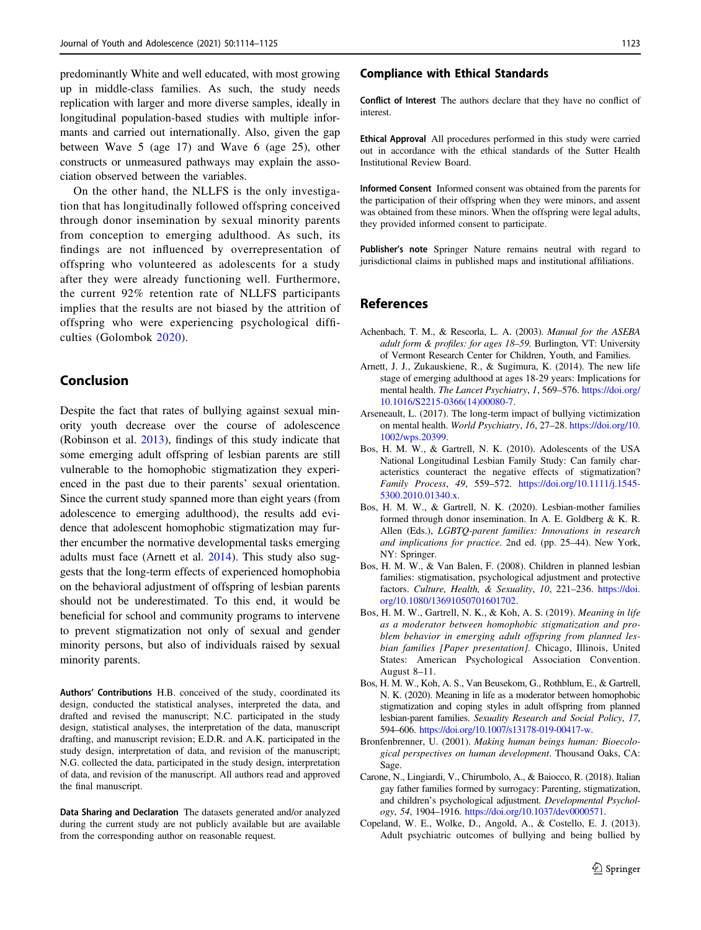<span id="page-10-0"></span>predominantly White and well educated, with most growing up in middle-class families. As such, the study needs replication with larger and more diverse samples, ideally in longitudinal population-based studies with multiple informants and carried out internationally. Also, given the gap between Wave 5 (age 17) and Wave 6 (age 25), other constructs or unmeasured pathways may explain the association observed between the variables.

On the other hand, the NLLFS is the only investigation that has longitudinally followed offspring conceived through donor insemination by sexual minority parents from conception to emerging adulthood. As such, its findings are not influenced by overrepresentation of offspring who volunteered as adolescents for a study after they were already functioning well. Furthermore, the current 92% retention rate of NLLFS participants implies that the results are not biased by the attrition of offspring who were experiencing psychological difficulties (Golombok [2020](#page-11-0)).

## Conclusion

Despite the fact that rates of bullying against sexual minority youth decrease over the course of adolescence (Robinson et al. [2013\)](#page-11-0), findings of this study indicate that some emerging adult offspring of lesbian parents are still vulnerable to the homophobic stigmatization they experienced in the past due to their parents' sexual orientation. Since the current study spanned more than eight years (from adolescence to emerging adulthood), the results add evidence that adolescent homophobic stigmatization may further encumber the normative developmental tasks emerging adults must face (Arnett et al. 2014). This study also suggests that the long-term effects of experienced homophobia on the behavioral adjustment of offspring of lesbian parents should not be underestimated. To this end, it would be beneficial for school and community programs to intervene to prevent stigmatization not only of sexual and gender minority persons, but also of individuals raised by sexual minority parents.

Authors' Contributions H.B. conceived of the study, coordinated its design, conducted the statistical analyses, interpreted the data, and drafted and revised the manuscript; N.C. participated in the study design, statistical analyses, the interpretation of the data, manuscript drafting, and manuscript revision; E.D.R. and A.K. participated in the study design, interpretation of data, and revision of the manuscript; N.G. collected the data, participated in the study design, interpretation of data, and revision of the manuscript. All authors read and approved the final manuscript.

Data Sharing and Declaration The datasets generated and/or analyzed during the current study are not publicly available but are available from the corresponding author on reasonable request.

#### Compliance with Ethical Standards

Conflict of Interest The authors declare that they have no conflict of interest.

Ethical Approval All procedures performed in this study were carried out in accordance with the ethical standards of the Sutter Health Institutional Review Board.

Informed Consent Informed consent was obtained from the parents for the participation of their offspring when they were minors, and assent was obtained from these minors. When the offspring were legal adults, they provided informed consent to participate.

Publisher's note Springer Nature remains neutral with regard to jurisdictional claims in published maps and institutional affiliations.

## References

- Achenbach, T. M., & Rescorla, L. A. (2003). Manual for the ASEBA adult form & profiles: for ages 18–59. Burlington, VT: University of Vermont Research Center for Children, Youth, and Families.
- Arnett, J. J., Zukauskiene, R., & Sugimura, K. (2014). The new life stage of emerging adulthood at ages 18-29 years: Implications for mental health. The Lancet Psychiatry, 1, 569–576. [https://doi.org/](https://doi.org/10.1016/S2215-0366(14)00080-7) [10.1016/S2215-0366\(14\)00080-7](https://doi.org/10.1016/S2215-0366(14)00080-7).
- Arseneault, L. (2017). The long‐term impact of bullying victimization on mental health. World Psychiatry, 16, 27–28. [https://doi.org/10.](https://doi.org/10.1002/wps.20399) [1002/wps.20399](https://doi.org/10.1002/wps.20399).
- Bos, H. M. W., & Gartrell, N. K. (2010). Adolescents of the USA National Longitudinal Lesbian Family Study: Can family characteristics counteract the negative effects of stigmatization? Family Process, 49, 559–572. [https://doi.org/10.1111/j.1545-](https://doi.org/10.1111/j.1545-5300.2010.01340.x) [5300.2010.01340.x.](https://doi.org/10.1111/j.1545-5300.2010.01340.x)
- Bos, H. M. W., & Gartrell, N. K. (2020). Lesbian-mother families formed through donor insemination. In A. E. Goldberg & K. R. Allen (Eds.), LGBTQ-parent families: Innovations in research and implications for practice. 2nd ed. (pp. 25–44). New York, NY: Springer.
- Bos, H. M. W., & Van Balen, F. (2008). Children in planned lesbian families: stigmatisation, psychological adjustment and protective factors. Culture, Health, & Sexuality, 10, 221-236. [https://doi.](https://doi.org/10.1080/13691050701601702) [org/10.1080/13691050701601702](https://doi.org/10.1080/13691050701601702).
- Bos, H. M. W., Gartrell, N. K., & Koh, A. S. (2019). Meaning in life as a moderator between homophobic stigmatization and problem behavior in emerging adult offspring from planned lesbian families [Paper presentation]. Chicago, Illinois, United States: American Psychological Association Convention. August 8–11.
- Bos, H. M. W., Koh, A. S., Van Beusekom, G., Rothblum, E., & Gartrell, N. K. (2020). Meaning in life as a moderator between homophobic stigmatization and coping styles in adult offspring from planned lesbian-parent families. Sexuality Research and Social Policy, 17, 594–606. <https://doi.org/10.1007/s13178-019-00417-w>.
- Bronfenbrenner, U. (2001). Making human beings human: Bioecological perspectives on human development. Thousand Oaks, CA: Sage.
- Carone, N., Lingiardi, V., Chirumbolo, A., & Baiocco, R. (2018). Italian gay father families formed by surrogacy: Parenting, stigmatization, and children's psychological adjustment. Developmental Psychology, 54, 1904–1916. <https://doi.org/10.1037/dev0000571>.
- Copeland, W. E., Wolke, D., Angold, A., & Costello, E. J. (2013). Adult psychiatric outcomes of bullying and being bullied by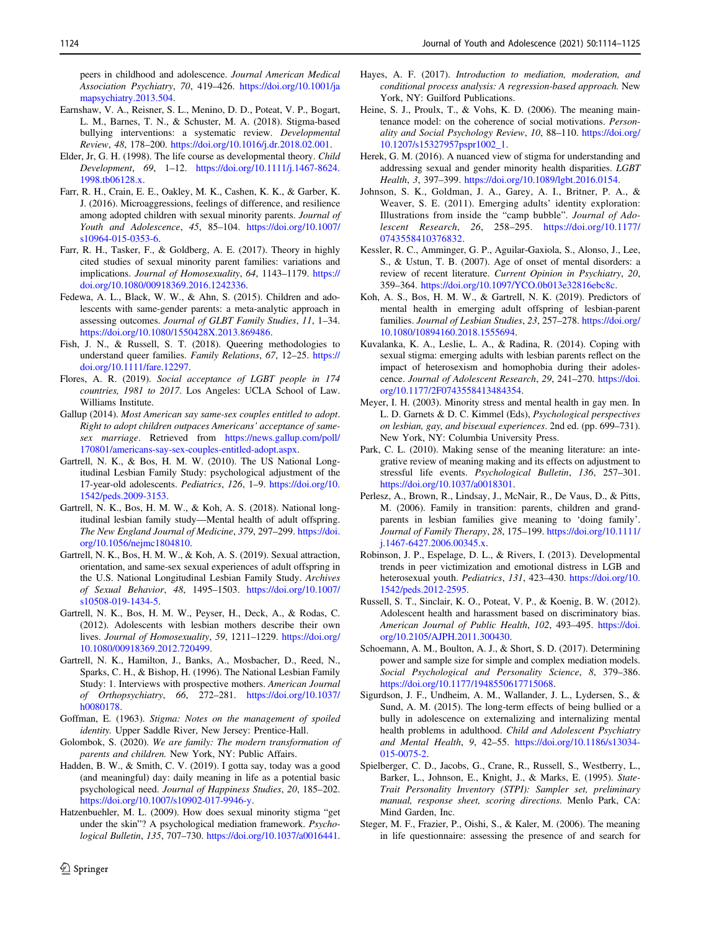<span id="page-11-0"></span>peers in childhood and adolescence. Journal American Medical Association Psychiatry, 70, 419–426. [https://doi.org/10.1001/ja](https://doi.org/10.1001/jamapsychiatry.2013.504) [mapsychiatry.2013.504](https://doi.org/10.1001/jamapsychiatry.2013.504).

- Earnshaw, V. A., Reisner, S. L., Menino, D. D., Poteat, V. P., Bogart, L. M., Barnes, T. N., & Schuster, M. A. (2018). Stigma-based bullying interventions: a systematic review. Developmental Review, 48, 178–200. <https://doi.org/10.1016/j.dr.2018.02.001>.
- Elder, Jr, G. H. (1998). The life course as developmental theory. Child Development, 69, 1–12. [https://doi.org/10.1111/j.1467-8624.](https://doi.org/10.1111/j.1467-8624.1998.tb06128.x) [1998.tb06128.x](https://doi.org/10.1111/j.1467-8624.1998.tb06128.x).
- Farr, R. H., Crain, E. E., Oakley, M. K., Cashen, K. K., & Garber, K. J. (2016). Microaggressions, feelings of difference, and resilience among adopted children with sexual minority parents. Journal of Youth and Adolescence, 45, 85–104. [https://doi.org/10.1007/](https://doi.org/10.1007/s10964-015-0353-6) [s10964-015-0353-6.](https://doi.org/10.1007/s10964-015-0353-6)
- Farr, R. H., Tasker, F., & Goldberg, A. E. (2017). Theory in highly cited studies of sexual minority parent families: variations and implications. Journal of Homosexuality, 64, 1143–1179. [https://](https://doi.org/10.1080/00918369.2016.1242336) [doi.org/10.1080/00918369.2016.1242336.](https://doi.org/10.1080/00918369.2016.1242336)
- Fedewa, A. L., Black, W. W., & Ahn, S. (2015). Children and adolescents with same-gender parents: a meta-analytic approach in assessing outcomes. Journal of GLBT Family Studies, 11, 1–34. [https://doi.org/10.1080/1550428X.2013.869486.](https://doi.org/10.1080/1550428X.2013.869486)
- Fish, J. N., & Russell, S. T. (2018). Queering methodologies to understand queer families. Family Relations, 67, 12–25. [https://](https://doi.org/10.1111/fare.12297) [doi.org/10.1111/fare.12297](https://doi.org/10.1111/fare.12297).
- Flores, A. R. (2019). Social acceptance of LGBT people in 174 countries, 1981 to 2017. Los Angeles: UCLA School of Law. Williams Institute.
- Gallup (2014). Most American say same-sex couples entitled to adopt. Right to adopt children outpaces Americans' acceptance of samesex marriage. Retrieved from [https://news.gallup.com/poll/](https://news.gallup.com/poll/170801/americans-say-sex-couples-entitled-adopt.aspx) [170801/americans-say-sex-couples-entitled-adopt.aspx.](https://news.gallup.com/poll/170801/americans-say-sex-couples-entitled-adopt.aspx)
- Gartrell, N. K., & Bos, H. M. W. (2010). The US National Longitudinal Lesbian Family Study: psychological adjustment of the 17-year-old adolescents. Pediatrics, 126, 1–9. [https://doi.org/10.](https://doi.org/10.1542/peds.2009-3153) [1542/peds.2009-3153](https://doi.org/10.1542/peds.2009-3153).
- Gartrell, N. K., Bos, H. M. W., & Koh, A. S. (2018). National longitudinal lesbian family study—Mental health of adult offspring. The New England Journal of Medicine, 379, 297–299. [https://doi.](https://doi.org/10.1056/nejmc1804810) [org/10.1056/nejmc1804810](https://doi.org/10.1056/nejmc1804810).
- Gartrell, N. K., Bos, H. M. W., & Koh, A. S. (2019). Sexual attraction, orientation, and same-sex sexual experiences of adult offspring in the U.S. National Longitudinal Lesbian Family Study. Archives of Sexual Behavior, 48, 1495–1503. [https://doi.org/10.1007/](https://doi.org/10.1007/s10508-019-1434-5) [s10508-019-1434-5.](https://doi.org/10.1007/s10508-019-1434-5)
- Gartrell, N. K., Bos, H. M. W., Peyser, H., Deck, A., & Rodas, C. (2012). Adolescents with lesbian mothers describe their own lives. Journal of Homosexuality, 59, 1211–1229. [https://doi.org/](https://doi.org/10.1080/00918369.2012.720499) [10.1080/00918369.2012.720499](https://doi.org/10.1080/00918369.2012.720499).
- Gartrell, N. K., Hamilton, J., Banks, A., Mosbacher, D., Reed, N., Sparks, C. H., & Bishop, H. (1996). The National Lesbian Family Study: 1. Interviews with prospective mothers. American Journal of Orthopsychiatry, 66, 272–281. [https://doi.org/10.1037/](https://doi.org/10.1037/h0080178) [h0080178.](https://doi.org/10.1037/h0080178)
- Goffman, E. (1963). Stigma: Notes on the management of spoiled identity. Upper Saddle River, New Jersey: Prentice-Hall.
- Golombok, S. (2020). We are family: The modern transformation of parents and children. New York, NY: Public Affairs.
- Hadden, B. W., & Smith, C. V. (2019). I gotta say, today was a good (and meaningful) day: daily meaning in life as a potential basic psychological need. Journal of Happiness Studies, 20, 185–202. [https://doi.org/10.1007/s10902-017-9946-y.](https://doi.org/10.1007/s10902-017-9946-y)
- Hatzenbuehler, M. L. (2009). How does sexual minority stigma "get under the skin"? A psychological mediation framework. Psychological Bulletin, 135, 707–730. <https://doi.org/10.1037/a0016441>.
- Hayes, A. F. (2017). Introduction to mediation, moderation, and conditional process analysis: A regression-based approach. New York, NY: Guilford Publications.
- Heine, S. J., Proulx, T., & Vohs, K. D. (2006). The meaning maintenance model: on the coherence of social motivations. Personality and Social Psychology Review, 10, 88–110. [https://doi.org/](https://doi.org/10.1207/s15327957pspr1002_1) [10.1207/s15327957pspr1002\\_1](https://doi.org/10.1207/s15327957pspr1002_1).
- Herek, G. M. (2016). A nuanced view of stigma for understanding and addressing sexual and gender minority health disparities. LGBT Health, 3, 397–399. <https://doi.org/10.1089/lgbt.2016.0154>.
- Johnson, S. K., Goldman, J. A., Garey, A. I., Britner, P. A., & Weaver, S. E. (2011). Emerging adults' identity exploration: Illustrations from inside the "camp bubble". Journal of Adolescent Research, 26, 258–295. [https://doi.org/10.1177/](https://doi.org/10.1177/0743558410376832) [0743558410376832.](https://doi.org/10.1177/0743558410376832)
- Kessler, R. C., Amminger, G. P., Aguilar‐Gaxiola, S., Alonso, J., Lee, S., & Ustun, T. B. (2007). Age of onset of mental disorders: a review of recent literature. Current Opinion in Psychiatry, 20, 359–364. [https://doi.org/10.1097/YCO.0b013e32816ebc8c.](https://doi.org/10.1097/YCO.0b013e32816ebc8c)
- Koh, A. S., Bos, H. M. W., & Gartrell, N. K. (2019). Predictors of mental health in emerging adult offspring of lesbian-parent families. Journal of Lesbian Studies, 23, 257–278. [https://doi.org/](https://doi.org/10.1080/10894160.2018.1555694) [10.1080/10894160.2018.1555694.](https://doi.org/10.1080/10894160.2018.1555694)
- Kuvalanka, K. A., Leslie, L. A., & Radina, R. (2014). Coping with sexual stigma: emerging adults with lesbian parents reflect on the impact of heterosexism and homophobia during their adolescence. Journal of Adolescent Research, 29, 241–270. [https://doi.](https://doi.org/10.1177/2F0743558413484354) [org/10.1177/2F0743558413484354](https://doi.org/10.1177/2F0743558413484354).
- Meyer, I. H. (2003). Minority stress and mental health in gay men. In L. D. Garnets & D. C. Kimmel (Eds), Psychological perspectives on lesbian, gay, and bisexual experiences. 2nd ed. (pp. 699–731). New York, NY: Columbia University Press.
- Park, C. L. (2010). Making sense of the meaning literature: an integrative review of meaning making and its effects on adjustment to stressful life events. Psychological Bulletin, 136, 257–301. [https://doi.org/10.1037/a0018301.](https://doi.org/10.1037/a0018301)
- Perlesz, A., Brown, R., Lindsay, J., McNair, R., De Vaus, D., & Pitts, M. (2006). Family in transition: parents, children and grandparents in lesbian families give meaning to 'doing family'. Journal of Family Therapy, 28, 175–199. [https://doi.org/10.1111/](https://doi.org/10.1111/j.1467-6427.2006.00345.x) [j.1467-6427.2006.00345.x.](https://doi.org/10.1111/j.1467-6427.2006.00345.x)
- Robinson, J. P., Espelage, D. L., & Rivers, I. (2013). Developmental trends in peer victimization and emotional distress in LGB and heterosexual youth. Pediatrics, 131, 423-430. [https://doi.org/10.](https://doi.org/10.1542/peds.2012-2595) [1542/peds.2012-2595.](https://doi.org/10.1542/peds.2012-2595)
- Russell, S. T., Sinclair, K. O., Poteat, V. P., & Koenig, B. W. (2012). Adolescent health and harassment based on discriminatory bias. American Journal of Public Health, 102, 493-495. [https://doi.](https://doi.org/10.2105/AJPH.2011.300430) [org/10.2105/AJPH.2011.300430](https://doi.org/10.2105/AJPH.2011.300430).
- Schoemann, A. M., Boulton, A. J., & Short, S. D. (2017). Determining power and sample size for simple and complex mediation models. Social Psychological and Personality Science, 8, 379–386. <https://doi.org/10.1177/1948550617715068>.
- Sigurdson, J. F., Undheim, A. M., Wallander, J. L., Lydersen, S., & Sund, A. M. (2015). The long-term effects of being bullied or a bully in adolescence on externalizing and internalizing mental health problems in adulthood. Child and Adolescent Psychiatry and Mental Health, 9, 42–55. [https://doi.org/10.1186/s13034-](https://doi.org/10.1186/s13034-015-0075-2) [015-0075-2](https://doi.org/10.1186/s13034-015-0075-2).
- Spielberger, C. D., Jacobs, G., Crane, R., Russell, S., Westberry, L., Barker, L., Johnson, E., Knight, J., & Marks, E. (1995). State-Trait Personality Inventory (STPI): Sampler set, preliminary manual, response sheet, scoring directions. Menlo Park, CA: Mind Garden, Inc.
- Steger, M. F., Frazier, P., Oishi, S., & Kaler, M. (2006). The meaning in life questionnaire: assessing the presence of and search for